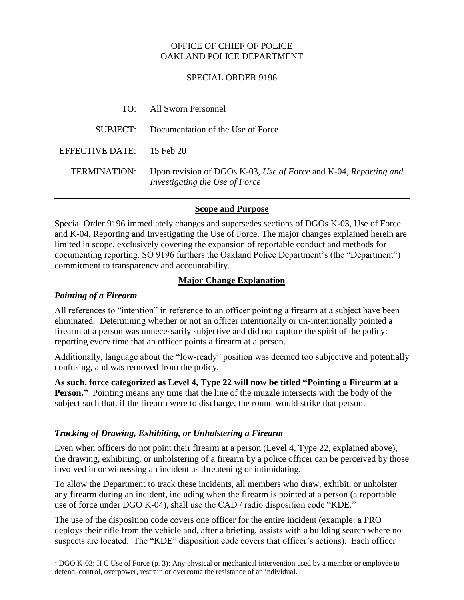## OFFICE OF CHIEF OF POLICE OAKLAND POLICE DEPARTMENT

#### SPECIAL ORDER 9196

|                             | TO: All Sworn Personnel                                                                            |
|-----------------------------|----------------------------------------------------------------------------------------------------|
|                             | $SUBJECT:$ Documentation of the Use of Force <sup>1</sup>                                          |
| EFFECTIVE DATE: $15$ Feb 20 |                                                                                                    |
| <b>TERMINATION:</b>         | Upon revision of DGOs K-03, Use of Force and K-04, Reporting and<br>Investigating the Use of Force |

## **Scope and Purpose**

Special Order 9196 immediately changes and supersedes sections of DGOs K-03, Use of Force and K-04, Reporting and Investigating the Use of Force. The major changes explained herein are limited in scope, exclusively covering the expansion of reportable conduct and methods for documenting reporting. SO 9196 furthers the Oakland Police Department's (the "Department") commitment to transparency and accountability.

## **Major Change Explanation**

## *Pointing of a Firearm*

All references to "intention" in reference to an officer pointing a firearm at a subject have been eliminated. Determining whether or not an officer intentionally or un-intentionally pointed a firearm at a person was unnecessarily subjective and did not capture the spirit of the policy: reporting every time that an officer points a firearm at a person.

Additionally, language about the "low-ready" position was deemed too subjective and potentially confusing, and was removed from the policy.

**As such, force categorized as Level 4, Type 22 will now be titled "Pointing a Firearm at a Person."** Pointing means any time that the line of the muzzle intersects with the body of the subject such that, if the firearm were to discharge, the round would strike that person.

# *Tracking of Drawing, Exhibiting, or Unholstering a Firearm*

Even when officers do not point their firearm at a person (Level 4, Type 22, explained above), the drawing, exhibiting, or unholstering of a firearm by a police officer can be perceived by those involved in or witnessing an incident as threatening or intimidating.

To allow the Department to track these incidents, all members who draw, exhibit, or unholster any firearm during an incident, including when the firearm is pointed at a person (a reportable use of force under DGO K-04), shall use the CAD / radio disposition code "KDE."

The use of the disposition code covers one officer for the entire incident (example: a PRO deploys their rifle from the vehicle and, after a briefing, assists with a building search where no suspects are located. The "KDE" disposition code covers that officer's actions). Each officer

<sup>&</sup>lt;sup>1</sup> DGO K-03: II C Use of Force (p. 3): Any physical or mechanical intervention used by a member or employee to defend, control, overpower, restrain or overcome the resistance of an individual.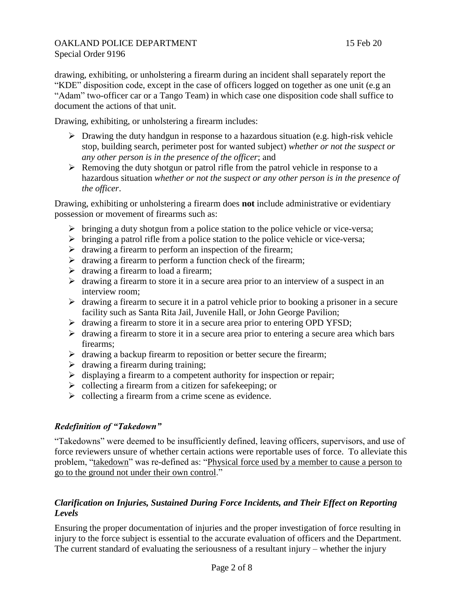drawing, exhibiting, or unholstering a firearm during an incident shall separately report the "KDE" disposition code, except in the case of officers logged on together as one unit (e.g an "Adam" two-officer car or a Tango Team) in which case one disposition code shall suffice to document the actions of that unit.

Drawing, exhibiting, or unholstering a firearm includes:

- $\triangleright$  Drawing the duty handgun in response to a hazardous situation (e.g. high-risk vehicle stop, building search, perimeter post for wanted subject) *whether or not the suspect or any other person is in the presence of the officer*; and
- $\triangleright$  Removing the duty shotgun or patrol rifle from the patrol vehicle in response to a hazardous situation *whether or not the suspect or any other person is in the presence of the officer*.

Drawing, exhibiting or unholstering a firearm does **not** include administrative or evidentiary possession or movement of firearms such as:

- $\triangleright$  bringing a duty shotgun from a police station to the police vehicle or vice-versa;
- $\triangleright$  bringing a patrol rifle from a police station to the police vehicle or vice-versa;
- $\triangleright$  drawing a firearm to perform an inspection of the firearm;
- $\triangleright$  drawing a firearm to perform a function check of the firearm;
- $\triangleright$  drawing a firearm to load a firearm;
- $\triangleright$  drawing a firearm to store it in a secure area prior to an interview of a suspect in an interview room;
- $\triangleright$  drawing a firearm to secure it in a patrol vehicle prior to booking a prisoner in a secure facility such as Santa Rita Jail, Juvenile Hall, or John George Pavilion;
- $\triangleright$  drawing a firearm to store it in a secure area prior to entering OPD YFSD;
- $\triangleright$  drawing a firearm to store it in a secure area prior to entering a secure area which bars firearms;
- $\triangleright$  drawing a backup firearm to reposition or better secure the firearm;
- $\triangleright$  drawing a firearm during training;
- $\triangleright$  displaying a firearm to a competent authority for inspection or repair;
- $\triangleright$  collecting a firearm from a citizen for safekeeping; or
- $\triangleright$  collecting a firearm from a crime scene as evidence.

# *Redefinition of "Takedown"*

"Takedowns" were deemed to be insufficiently defined, leaving officers, supervisors, and use of force reviewers unsure of whether certain actions were reportable uses of force. To alleviate this problem, "takedown" was re-defined as: "Physical force used by a member to cause a person to go to the ground not under their own control."

# *Clarification on Injuries, Sustained During Force Incidents, and Their Effect on Reporting Levels*

Ensuring the proper documentation of injuries and the proper investigation of force resulting in injury to the force subject is essential to the accurate evaluation of officers and the Department. The current standard of evaluating the seriousness of a resultant injury – whether the injury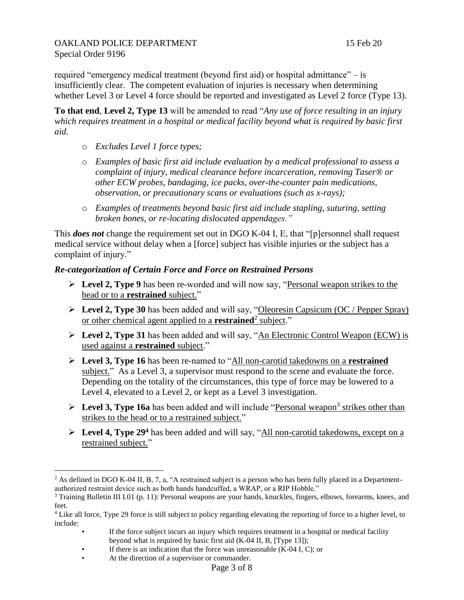required "emergency medical treatment (beyond first aid) or hospital admittance" – is insufficiently clear. The competent evaluation of injuries is necessary when determining whether Level 3 or Level 4 force should be reported and investigated as Level 2 force (Type 13).

**To that end**, **Level 2, Type 13** will be amended to read "*Any use of force resulting in an injury which requires treatment in a hospital or medical facility beyond what is required by basic first aid.*

- o *Excludes Level 1 force types;*
- o *Examples of basic first aid include evaluation by a medical professional to assess a complaint of injury, medical clearance before incarceration, removing Taser® or other ECW probes, bandaging, ice packs, over-the-counter pain medications, observation, or precautionary scans or evaluations (such as x-rays);*
- o *Examples of treatments beyond basic first aid include stapling, suturing, setting broken bones, or re-locating dislocated appendages."*

This *does not* change the requirement set out in DGO K-04 I, E, that "[p]ersonnel shall request medical service without delay when a [force] subject has visible injuries or the subject has a complaint of injury."

#### *Re-categorization of Certain Force and Force on Restrained Persons*

- **Level 2, Type 9** has been re-worded and will now say, "Personal weapon strikes to the head or to a **restrained** subject."
- **Level 2, Type 30** has been added and will say, "Oleoresin Capsicum (OC / Pepper Spray) or other chemical agent applied to a **restrained**<sup>2</sup> subject."
- **Level 2, Type 31** has been added and will say, "An Electronic Control Weapon (ECW) is used against a **restrained** subject."
- **Level 3, Type 16** has been re-named to "All non-carotid takedowns on a **restrained** subject." As a Level 3, a supervisor must respond to the scene and evaluate the force. Depending on the totality of the circumstances, this type of force may be lowered to a Level 4, elevated to a Level 2, or kept as a Level 3 investigation.
- ► Level 3, Type 16a has been added and will include "Personal weapon<sup>3</sup> strikes other than strikes to the head or to a restrained subject."
- **Level 4, Type 29<sup>4</sup>** has been added and will say, "All non-carotid takedowns, except on a restrained subject."

If the force subject incurs an injury which requires treatment in a hospital or medical facility beyond what is required by basic first aid (K-04 II, B, [Type 13]);

 $2$  As defined in DGO K-04 II, B, 7, a, "A restrained subject is a person who has been fully placed in a Departmentauthorized restraint device such as both hands handcuffed, a WRAP, or a RIP Hobble."

<sup>3</sup> Training Bulletin III I.01 (p. 11): Personal weapons are your hands, knuckles, fingers, elbows, forearms, knees, and feet.

<sup>&</sup>lt;sup>4</sup> Like all force, Type 29 force is still subject to policy regarding elevating the reporting of force to a higher level, to include:

<sup>•</sup> If there is an indication that the force was unreasonable (K-04 I, C); or

<sup>•</sup> At the direction of a supervisor or commander.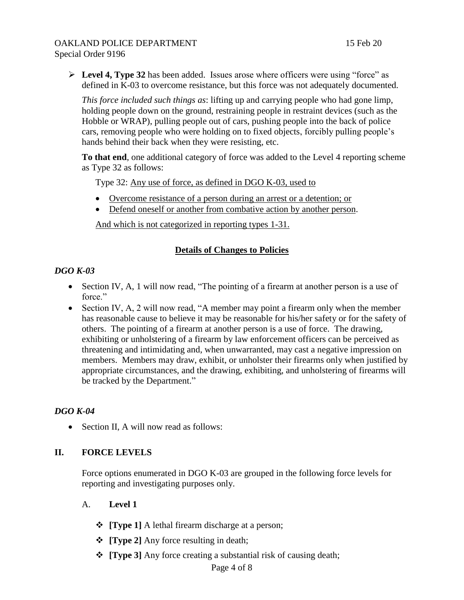**Level 4, Type 32** has been added. Issues arose where officers were using "force" as defined in K-03 to overcome resistance, but this force was not adequately documented.

*This force included such things as*: lifting up and carrying people who had gone limp, holding people down on the ground, restraining people in restraint devices (such as the Hobble or WRAP), pulling people out of cars, pushing people into the back of police cars, removing people who were holding on to fixed objects, forcibly pulling people's hands behind their back when they were resisting, etc.

**To that end**, one additional category of force was added to the Level 4 reporting scheme as Type 32 as follows:

Type 32: Any use of force, as defined in DGO K-03, used to

- Overcome resistance of a person during an arrest or a detention; or
- Defend oneself or another from combative action by another person.

And which is not categorized in reporting types 1-31.

## **Details of Changes to Policies**

## *DGO K-03*

- Section IV, A, 1 will now read, "The pointing of a firearm at another person is a use of force."
- Section IV, A, 2 will now read, "A member may point a firearm only when the member has reasonable cause to believe it may be reasonable for his/her safety or for the safety of others. The pointing of a firearm at another person is a use of force. The drawing, exhibiting or unholstering of a firearm by law enforcement officers can be perceived as threatening and intimidating and, when unwarranted, may cast a negative impression on members. Members may draw, exhibit, or unholster their firearms only when justified by appropriate circumstances, and the drawing, exhibiting, and unholstering of firearms will be tracked by the Department."

# *DGO K-04*

• Section II, A will now read as follows:

#### **II. FORCE LEVELS**

Force options enumerated in DGO K-03 are grouped in the following force levels for reporting and investigating purposes only.

#### A. **Level 1**

- $\div$  [Type 1] A lethal firearm discharge at a person;
- **[Type 2]** Any force resulting in death;
- **[Type 3]** Any force creating a substantial risk of causing death;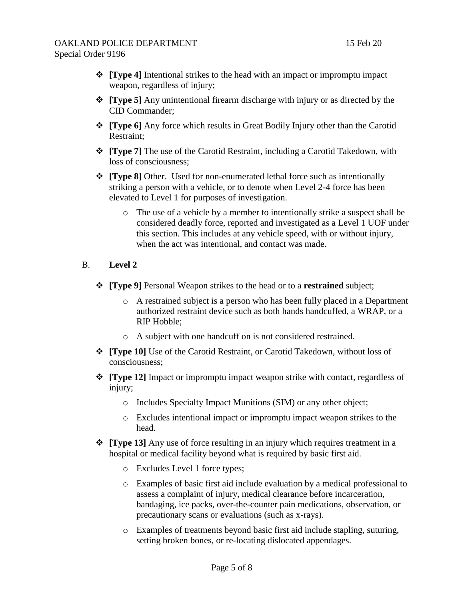- **[Type 4]** Intentional strikes to the head with an impact or impromptu impact weapon, regardless of injury;
- **[Type 5]** Any unintentional firearm discharge with injury or as directed by the CID Commander;
- $\div$  **[Type 6]** Any force which results in Great Bodily Injury other than the Carotid Restraint;
- **[Type 7]** The use of the Carotid Restraint, including a Carotid Takedown, with loss of consciousness;
- **[Type 8]** Other. Used for non-enumerated lethal force such as intentionally striking a person with a vehicle, or to denote when Level 2-4 force has been elevated to Level 1 for purposes of investigation.
	- o The use of a vehicle by a member to intentionally strike a suspect shall be considered deadly force, reported and investigated as a Level 1 UOF under this section. This includes at any vehicle speed, with or without injury, when the act was intentional, and contact was made.

#### B. **Level 2**

- **[Type 9]** Personal Weapon strikes to the head or to a **restrained** subject;
	- o A restrained subject is a person who has been fully placed in a Department authorized restraint device such as both hands handcuffed, a WRAP, or a RIP Hobble;
	- o A subject with one handcuff on is not considered restrained.
- **[Type 10]** Use of the Carotid Restraint, or Carotid Takedown, without loss of consciousness;
- **[Type 12]** Impact or impromptu impact weapon strike with contact, regardless of injury;
	- o Includes Specialty Impact Munitions (SIM) or any other object;
	- o Excludes intentional impact or impromptu impact weapon strikes to the head.
- $\div$  [Type 13] Any use of force resulting in an injury which requires treatment in a hospital or medical facility beyond what is required by basic first aid.
	- o Excludes Level 1 force types;
	- o Examples of basic first aid include evaluation by a medical professional to assess a complaint of injury, medical clearance before incarceration, bandaging, ice packs, over-the-counter pain medications, observation, or precautionary scans or evaluations (such as x-rays).
	- o Examples of treatments beyond basic first aid include stapling, suturing, setting broken bones, or re-locating dislocated appendages.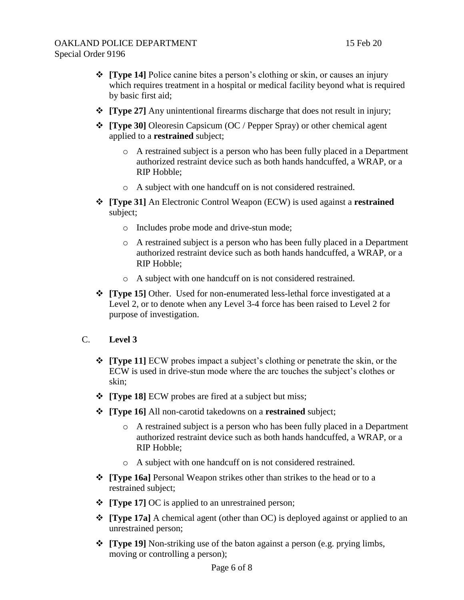- **[Type 14]** Police canine bites a person's clothing or skin, or causes an injury which requires treatment in a hospital or medical facility beyond what is required by basic first aid;
- **[Type 27]** Any unintentional firearms discharge that does not result in injury;
- **[Type 30]** Oleoresin Capsicum (OC / Pepper Spray) or other chemical agent applied to a **restrained** subject;
	- o A restrained subject is a person who has been fully placed in a Department authorized restraint device such as both hands handcuffed, a WRAP, or a RIP Hobble;
	- o A subject with one handcuff on is not considered restrained.
- **[Type 31]** An Electronic Control Weapon (ECW) is used against a **restrained** subject;
	- o Includes probe mode and drive-stun mode;
	- o A restrained subject is a person who has been fully placed in a Department authorized restraint device such as both hands handcuffed, a WRAP, or a RIP Hobble;
	- o A subject with one handcuff on is not considered restrained.
- **[Type 15]** Other. Used for non-enumerated less-lethal force investigated at a Level 2, or to denote when any Level 3-4 force has been raised to Level 2 for purpose of investigation.
- C. **Level 3**
	- **[Type 11]** ECW probes impact a subject's clothing or penetrate the skin, or the ECW is used in drive-stun mode where the arc touches the subject's clothes or skin;
	- **Figure 181 ECW** probes are fired at a subject but miss;
	- **[Type 16]** All non-carotid takedowns on a **restrained** subject;
		- o A restrained subject is a person who has been fully placed in a Department authorized restraint device such as both hands handcuffed, a WRAP, or a RIP Hobble;
		- o A subject with one handcuff on is not considered restrained.
	- **[Type 16a]** Personal Weapon strikes other than strikes to the head or to a restrained subject;
	- **[Type 17]** OC is applied to an unrestrained person;
	- **[Type 17a]** A chemical agent (other than OC) is deployed against or applied to an unrestrained person;
	- **[Type 19]** Non-striking use of the baton against a person (e.g. prying limbs, moving or controlling a person);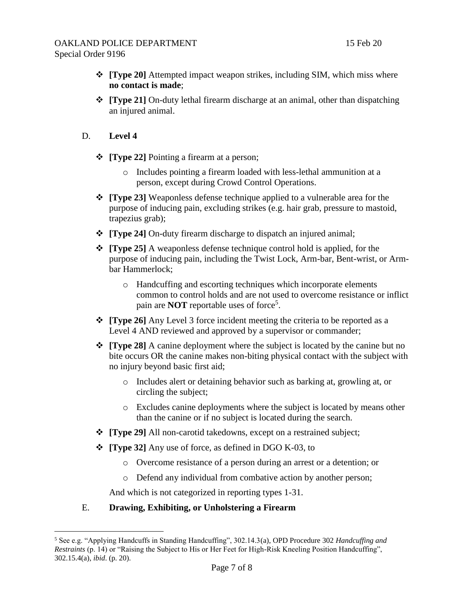- **[Type 20]** Attempted impact weapon strikes, including SIM, which miss where **no contact is made**;
- **[Type 21]** On-duty lethal firearm discharge at an animal, other than dispatching an injured animal.
- D. **Level 4**
	- **\*** [Type 22] Pointing a firearm at a person;
		- o Includes pointing a firearm loaded with less-lethal ammunition at a person, except during Crowd Control Operations.
	- **[Type 23]** Weaponless defense technique applied to a vulnerable area for the purpose of inducing pain, excluding strikes (e.g. hair grab, pressure to mastoid, trapezius grab);
	- **[Type 24]** On-duty firearm discharge to dispatch an injured animal;
	- **[Type 25]** A weaponless defense technique control hold is applied, for the purpose of inducing pain, including the Twist Lock, Arm-bar, Bent-wrist, or Armbar Hammerlock;
		- o Handcuffing and escorting techniques which incorporate elements common to control holds and are not used to overcome resistance or inflict pain are **NOT** reportable uses of force<sup>5</sup>.
	- **[Type 26]** Any Level 3 force incident meeting the criteria to be reported as a Level 4 AND reviewed and approved by a supervisor or commander;
	- **[Type 28]** A canine deployment where the subject is located by the canine but no bite occurs OR the canine makes non-biting physical contact with the subject with no injury beyond basic first aid;
		- o Includes alert or detaining behavior such as barking at, growling at, or circling the subject;
		- o Excludes canine deployments where the subject is located by means other than the canine or if no subject is located during the search.
	- **[Type 29]** All non-carotid takedowns, except on a restrained subject;
	- $\div$  [Type 32] Any use of force, as defined in DGO K-03, to
		- o Overcome resistance of a person during an arrest or a detention; or
		- o Defend any individual from combative action by another person;

And which is not categorized in reporting types 1-31.

# E. **Drawing, Exhibiting, or Unholstering a Firearm**

 $\overline{a}$ <sup>5</sup> See e.g. "Applying Handcuffs in Standing Handcuffing", 302.14.3(a), OPD Procedure 302 *Handcuffing and Restraints* (p. 14) or "Raising the Subject to His or Her Feet for High-Risk Kneeling Position Handcuffing", 302.15.4(a), *ibid*. (p. 20).